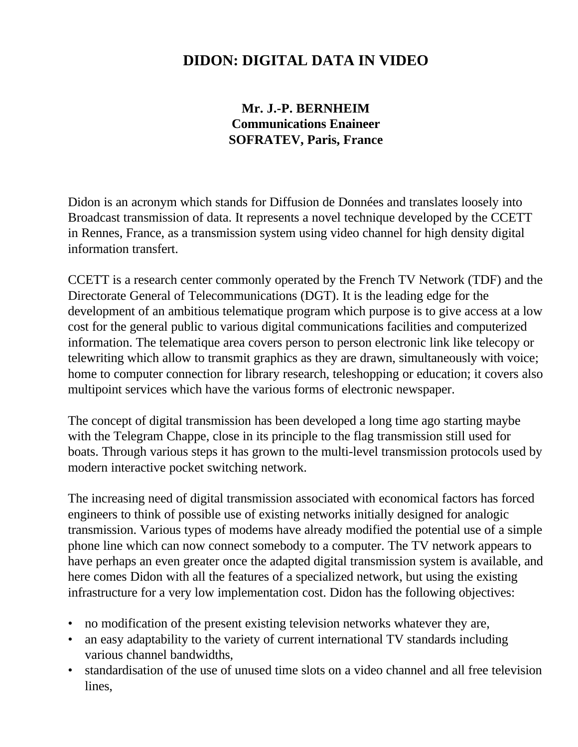# **DIDON: DIGITAL DATA IN VIDEO**

## **Mr. J.-P. BERNHEIM Communications Enaineer SOFRATEV, Paris, France**

Didon is an acronym which stands for Diffusion de Données and translates loosely into Broadcast transmission of data. It represents a novel technique developed by the CCETT in Rennes, France, as a transmission system using video channel for high density digital information transfert.

CCETT is a research center commonly operated by the French TV Network (TDF) and the Directorate General of Telecommunications (DGT). It is the leading edge for the development of an ambitious telematique program which purpose is to give access at a low cost for the general public to various digital communications facilities and computerized information. The telematique area covers person to person electronic link like telecopy or telewriting which allow to transmit graphics as they are drawn, simultaneously with voice; home to computer connection for library research, teleshopping or education; it covers also multipoint services which have the various forms of electronic newspaper.

The concept of digital transmission has been developed a long time ago starting maybe with the Telegram Chappe, close in its principle to the flag transmission still used for boats. Through various steps it has grown to the multi-level transmission protocols used by modern interactive pocket switching network.

The increasing need of digital transmission associated with economical factors has forced engineers to think of possible use of existing networks initially designed for analogic transmission. Various types of modems have already modified the potential use of a simple phone line which can now connect somebody to a computer. The TV network appears to have perhaps an even greater once the adapted digital transmission system is available, and here comes Didon with all the features of a specialized network, but using the existing infrastructure for a very low implementation cost. Didon has the following objectives:

- no modification of the present existing television networks whatever they are,
- an easy adaptability to the variety of current international TV standards including various channel bandwidths,
- standardisation of the use of unused time slots on a video channel and all free television lines,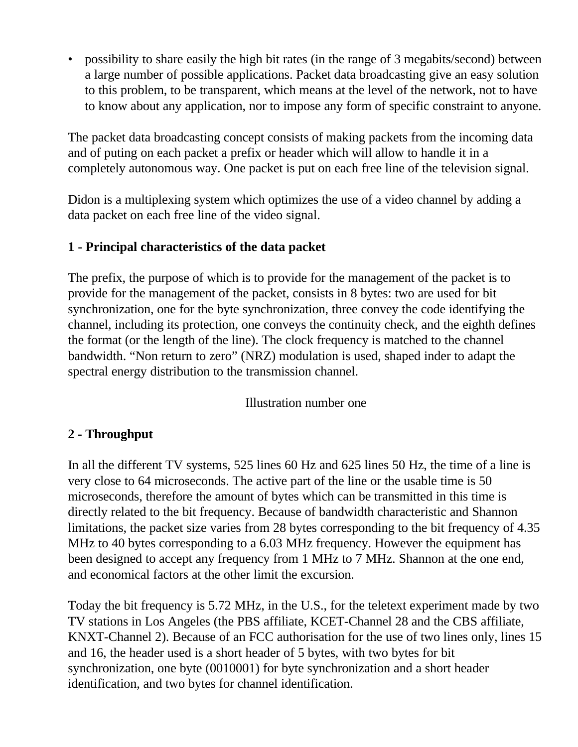• possibility to share easily the high bit rates (in the range of 3 megabits/second) between a large number of possible applications. Packet data broadcasting give an easy solution to this problem, to be transparent, which means at the level of the network, not to have to know about any application, nor to impose any form of specific constraint to anyone.

The packet data broadcasting concept consists of making packets from the incoming data and of puting on each packet a prefix or header which will allow to handle it in a completely autonomous way. One packet is put on each free line of the television signal.

Didon is a multiplexing system which optimizes the use of a video channel by adding a data packet on each free line of the video signal.

#### **1 - Principal characteristics of the data packet**

The prefix, the purpose of which is to provide for the management of the packet is to provide for the management of the packet, consists in 8 bytes: two are used for bit synchronization, one for the byte synchronization, three convey the code identifying the channel, including its protection, one conveys the continuity check, and the eighth defines the format (or the length of the line). The clock frequency is matched to the channel bandwidth. "Non return to zero" (NRZ) modulation is used, shaped inder to adapt the spectral energy distribution to the transmission channel.

Illustration number one

### **2 - Throughput**

In all the different TV systems, 525 lines 60 Hz and 625 lines 50 Hz, the time of a line is very close to 64 microseconds. The active part of the line or the usable time is 50 microseconds, therefore the amount of bytes which can be transmitted in this time is directly related to the bit frequency. Because of bandwidth characteristic and Shannon limitations, the packet size varies from 28 bytes corresponding to the bit frequency of 4.35 MHz to 40 bytes corresponding to a 6.03 MHz frequency. However the equipment has been designed to accept any frequency from 1 MHz to 7 MHz. Shannon at the one end, and economical factors at the other limit the excursion.

Today the bit frequency is 5.72 MHz, in the U.S., for the teletext experiment made by two TV stations in Los Angeles (the PBS affiliate, KCET-Channel 28 and the CBS affiliate, KNXT-Channel 2). Because of an FCC authorisation for the use of two lines only, lines 15 and 16, the header used is a short header of 5 bytes, with two bytes for bit synchronization, one byte (0010001) for byte synchronization and a short header identification, and two bytes for channel identification.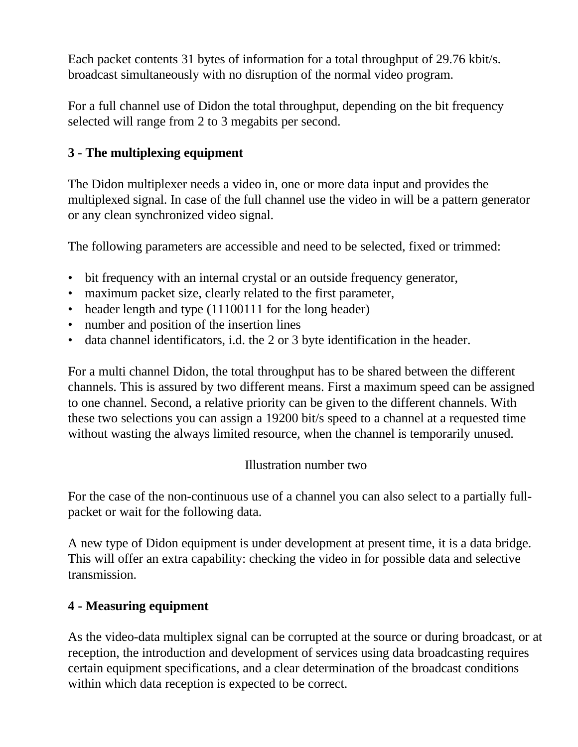Each packet contents 31 bytes of information for a total throughput of 29.76 kbit/s. broadcast simultaneously with no disruption of the normal video program.

For a full channel use of Didon the total throughput, depending on the bit frequency selected will range from 2 to 3 megabits per second.

### **3 - The multiplexing equipment**

The Didon multiplexer needs a video in, one or more data input and provides the multiplexed signal. In case of the full channel use the video in will be a pattern generator or any clean synchronized video signal.

The following parameters are accessible and need to be selected, fixed or trimmed:

- bit frequency with an internal crystal or an outside frequency generator,
- maximum packet size, clearly related to the first parameter,
- header length and type (11100111 for the long header)
- number and position of the insertion lines
- data channel identificators, i.d. the 2 or 3 byte identification in the header.

For a multi channel Didon, the total throughput has to be shared between the different channels. This is assured by two different means. First a maximum speed can be assigned to one channel. Second, a relative priority can be given to the different channels. With these two selections you can assign a 19200 bit/s speed to a channel at a requested time without wasting the always limited resource, when the channel is temporarily unused.

### Illustration number two

For the case of the non-continuous use of a channel you can also select to a partially fullpacket or wait for the following data.

A new type of Didon equipment is under development at present time, it is a data bridge. This will offer an extra capability: checking the video in for possible data and selective transmission.

## **4 - Measuring equipment**

As the video-data multiplex signal can be corrupted at the source or during broadcast, or at reception, the introduction and development of services using data broadcasting requires certain equipment specifications, and a clear determination of the broadcast conditions within which data reception is expected to be correct.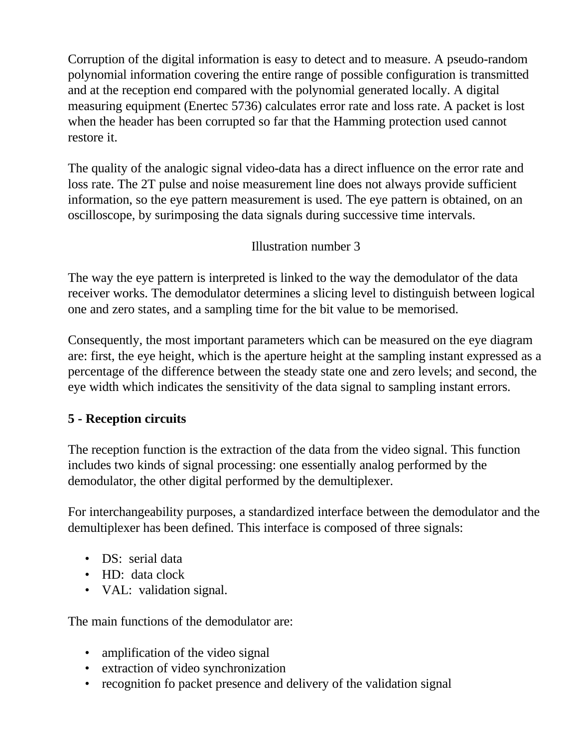Corruption of the digital information is easy to detect and to measure. A pseudo-random polynomial information covering the entire range of possible configuration is transmitted and at the reception end compared with the polynomial generated locally. A digital measuring equipment (Enertec 5736) calculates error rate and loss rate. A packet is lost when the header has been corrupted so far that the Hamming protection used cannot restore it.

The quality of the analogic signal video-data has a direct influence on the error rate and loss rate. The 2T pulse and noise measurement line does not always provide sufficient information, so the eye pattern measurement is used. The eye pattern is obtained, on an oscilloscope, by surimposing the data signals during successive time intervals.

### Illustration number 3

The way the eye pattern is interpreted is linked to the way the demodulator of the data receiver works. The demodulator determines a slicing level to distinguish between logical one and zero states, and a sampling time for the bit value to be memorised.

Consequently, the most important parameters which can be measured on the eye diagram are: first, the eye height, which is the aperture height at the sampling instant expressed as a percentage of the difference between the steady state one and zero levels; and second, the eye width which indicates the sensitivity of the data signal to sampling instant errors.

### **5 - Reception circuits**

The reception function is the extraction of the data from the video signal. This function includes two kinds of signal processing: one essentially analog performed by the demodulator, the other digital performed by the demultiplexer.

For interchangeability purposes, a standardized interface between the demodulator and the demultiplexer has been defined. This interface is composed of three signals:

- DS: serial data
- HD: data clock
- VAL: validation signal.

The main functions of the demodulator are:

- amplification of the video signal
- extraction of video synchronization
- recognition fo packet presence and delivery of the validation signal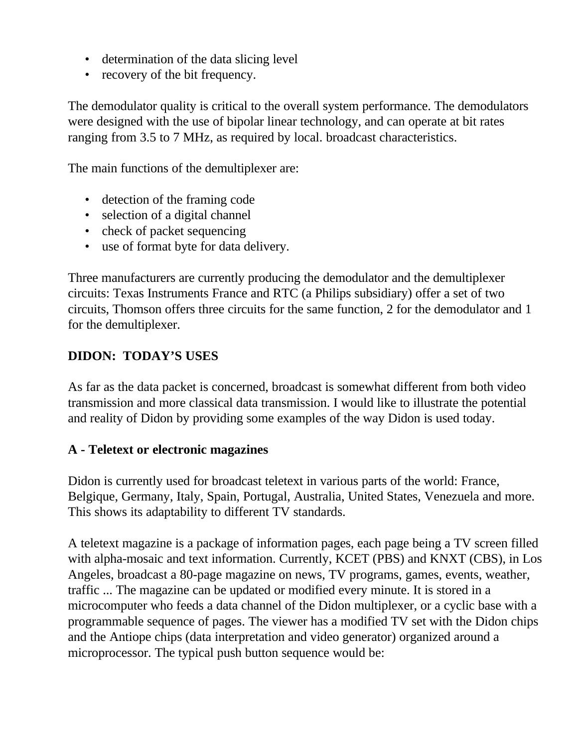- determination of the data slicing level
- recovery of the bit frequency.

The demodulator quality is critical to the overall system performance. The demodulators were designed with the use of bipolar linear technology, and can operate at bit rates ranging from 3.5 to 7 MHz, as required by local. broadcast characteristics.

The main functions of the demultiplexer are:

- detection of the framing code
- selection of a digital channel
- check of packet sequencing
- use of format byte for data delivery.

Three manufacturers are currently producing the demodulator and the demultiplexer circuits: Texas Instruments France and RTC (a Philips subsidiary) offer a set of two circuits, Thomson offers three circuits for the same function, 2 for the demodulator and 1 for the demultiplexer.

### **DIDON: TODAY'S USES**

As far as the data packet is concerned, broadcast is somewhat different from both video transmission and more classical data transmission. I would like to illustrate the potential and reality of Didon by providing some examples of the way Didon is used today.

#### **A - Teletext or electronic magazines**

Didon is currently used for broadcast teletext in various parts of the world: France, Belgique, Germany, Italy, Spain, Portugal, Australia, United States, Venezuela and more. This shows its adaptability to different TV standards.

A teletext magazine is a package of information pages, each page being a TV screen filled with alpha-mosaic and text information. Currently, KCET (PBS) and KNXT (CBS), in Los Angeles, broadcast a 80-page magazine on news, TV programs, games, events, weather, traffic ... The magazine can be updated or modified every minute. It is stored in a microcomputer who feeds a data channel of the Didon multiplexer, or a cyclic base with a programmable sequence of pages. The viewer has a modified TV set with the Didon chips and the Antiope chips (data interpretation and video generator) organized around a microprocessor. The typical push button sequence would be: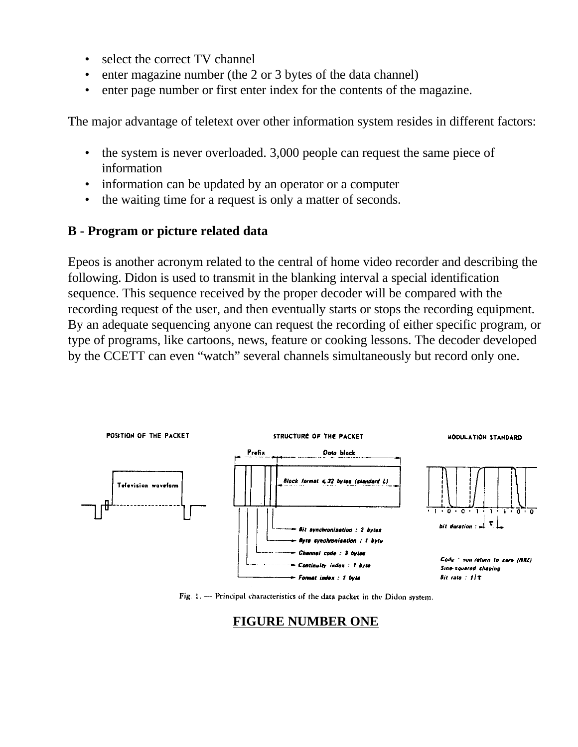- select the correct TV channel
- enter magazine number (the 2 or 3 bytes of the data channel)
- enter page number or first enter index for the contents of the magazine.

The major advantage of teletext over other information system resides in different factors:

- the system is never overloaded. 3,000 people can request the same piece of information
- information can be updated by an operator or a computer
- the waiting time for a request is only a matter of seconds.

#### **B - Program or picture related data**

Epeos is another acronym related to the central of home video recorder and describing the following. Didon is used to transmit in the blanking interval a special identification sequence. This sequence received by the proper decoder will be compared with the recording request of the user, and then eventually starts or stops the recording equipment. By an adequate sequencing anyone can request the recording of either specific program, or type of programs, like cartoons, news, feature or cooking lessons. The decoder developed by the CCETT can even "watch" several channels simultaneously but record only one.



Fig. 1. --- Principal characteristics of the data packet in the Didon system.

### **FIGURE NUMBER ONE**